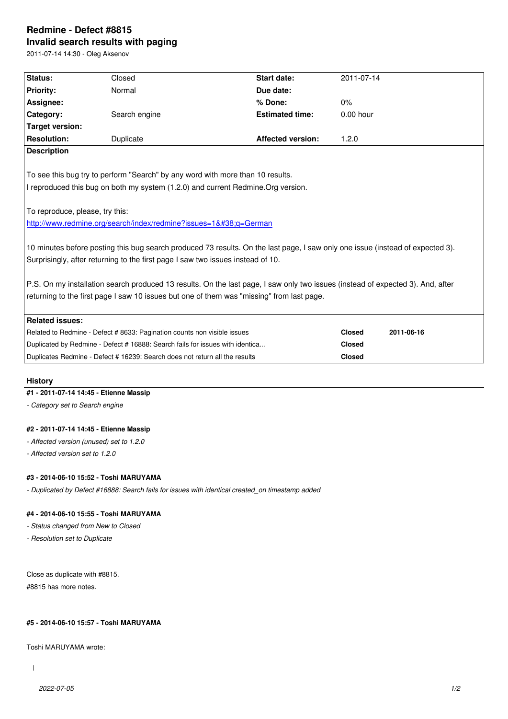#### **Invalid search results with paging**

2011-07-14 14:30 - Oleg Aksenov

| Status:                                                                                                                         | Closed                                                                      | <b>Start date:</b>       | 2011-07-14    |            |
|---------------------------------------------------------------------------------------------------------------------------------|-----------------------------------------------------------------------------|--------------------------|---------------|------------|
| <b>Priority:</b>                                                                                                                | Normal                                                                      | Due date:                |               |            |
| Assignee:                                                                                                                       |                                                                             | % Done:                  | 0%            |            |
| Category:                                                                                                                       | Search engine                                                               | <b>Estimated time:</b>   | $0.00$ hour   |            |
| <b>Target version:</b>                                                                                                          |                                                                             |                          |               |            |
| <b>Resolution:</b>                                                                                                              | Duplicate                                                                   | <b>Affected version:</b> | 1.2.0         |            |
| <b>Description</b>                                                                                                              |                                                                             |                          |               |            |
|                                                                                                                                 |                                                                             |                          |               |            |
| To see this bug try to perform "Search" by any word with more than 10 results.                                                  |                                                                             |                          |               |            |
| I reproduced this bug on both my system (1.2.0) and current Redmine. Org version.                                               |                                                                             |                          |               |            |
|                                                                                                                                 |                                                                             |                          |               |            |
| To reproduce, please, try this:                                                                                                 |                                                                             |                          |               |            |
| http://www.redmine.org/search/index/redmine?issues=1&q=German                                                                   |                                                                             |                          |               |            |
|                                                                                                                                 |                                                                             |                          |               |            |
| 10 minutes before posting this bug search produced 73 results. On the last page, I saw only one issue (instead of expected 3).  |                                                                             |                          |               |            |
| Surprisingly, after returning to the first page I saw two issues instead of 10.                                                 |                                                                             |                          |               |            |
|                                                                                                                                 |                                                                             |                          |               |            |
| P.S. On my installation search produced 13 results. On the last page, I saw only two issues (instead of expected 3). And, after |                                                                             |                          |               |            |
| returning to the first page I saw 10 issues but one of them was "missing" from last page.                                       |                                                                             |                          |               |            |
|                                                                                                                                 |                                                                             |                          |               |            |
| <b>Related issues:</b>                                                                                                          |                                                                             |                          |               |            |
|                                                                                                                                 | Related to Redmine - Defect # 8633: Pagination counts non visible issues    |                          | <b>Closed</b> | 2011-06-16 |
| Duplicated by Redmine - Defect # 16888: Search fails for issues with identica                                                   |                                                                             |                          | <b>Closed</b> |            |
|                                                                                                                                 | Duplicates Redmine - Defect # 16239: Search does not return all the results |                          | <b>Closed</b> |            |
|                                                                                                                                 |                                                                             |                          |               |            |

# **History**

# **#1 - 2011-07-14 14:45 - Etienne Massip**

*- Category set to Search engine*

### **#2 - 2011-07-14 14:45 - Etienne Massip**

*- Affected version (unused) set to 1.2.0*

*- Affected version set to 1.2.0*

#### **#3 - 2014-06-10 15:52 - Toshi MARUYAMA**

*- Duplicated by Defect #16888: Search fails for issues with identical created\_on timestamp added*

## **#4 - 2014-06-10 15:55 - Toshi MARUYAMA**

*- Status changed from New to Closed*

*- Resolution set to Duplicate*

Close as duplicate with #8815. #8815 has more notes.

#### **#5 - 2014-06-10 15:57 - Toshi MARUYAMA**

Toshi MARUYAMA wrote:

 $\overline{1}$